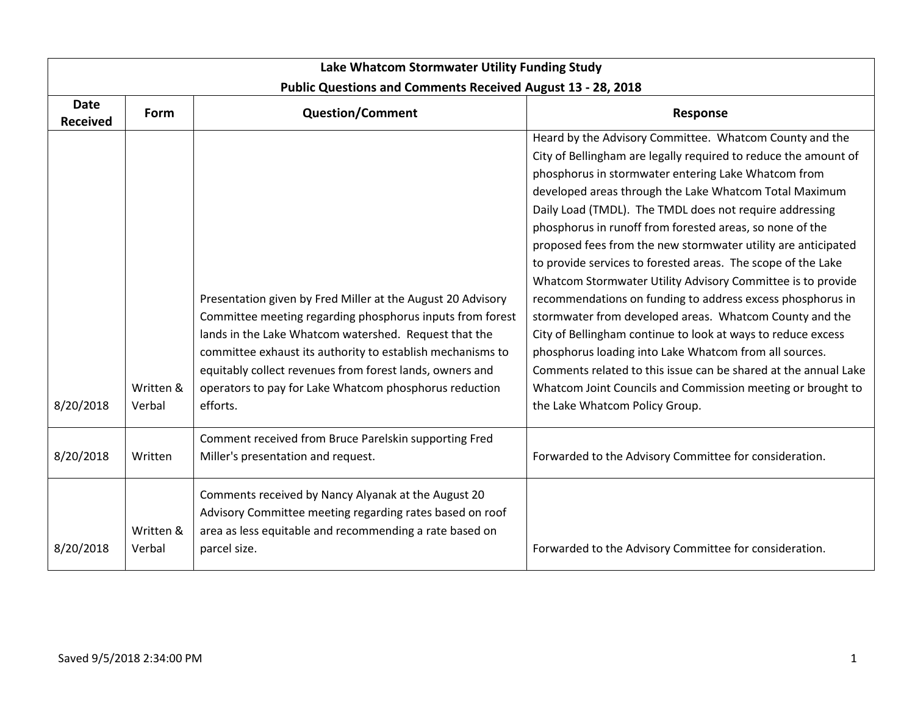| Lake Whatcom Stormwater Utility Funding Study |                     |                                                                                                                                                                                                                                                                                                                                                                                   |                                                                                                                                                                                                                                                                                                                                                                                                                                                                                                                                                                                                                                                                                                                                                                                                                                                                                                                                                                                           |  |
|-----------------------------------------------|---------------------|-----------------------------------------------------------------------------------------------------------------------------------------------------------------------------------------------------------------------------------------------------------------------------------------------------------------------------------------------------------------------------------|-------------------------------------------------------------------------------------------------------------------------------------------------------------------------------------------------------------------------------------------------------------------------------------------------------------------------------------------------------------------------------------------------------------------------------------------------------------------------------------------------------------------------------------------------------------------------------------------------------------------------------------------------------------------------------------------------------------------------------------------------------------------------------------------------------------------------------------------------------------------------------------------------------------------------------------------------------------------------------------------|--|
| <b>Date</b><br><b>Received</b>                | Form                | <b>Public Questions and Comments Received August 13 - 28, 2018</b><br><b>Question/Comment</b>                                                                                                                                                                                                                                                                                     | Response                                                                                                                                                                                                                                                                                                                                                                                                                                                                                                                                                                                                                                                                                                                                                                                                                                                                                                                                                                                  |  |
| 8/20/2018                                     | Written &<br>Verbal | Presentation given by Fred Miller at the August 20 Advisory<br>Committee meeting regarding phosphorus inputs from forest<br>lands in the Lake Whatcom watershed. Request that the<br>committee exhaust its authority to establish mechanisms to<br>equitably collect revenues from forest lands, owners and<br>operators to pay for Lake Whatcom phosphorus reduction<br>efforts. | Heard by the Advisory Committee. Whatcom County and the<br>City of Bellingham are legally required to reduce the amount of<br>phosphorus in stormwater entering Lake Whatcom from<br>developed areas through the Lake Whatcom Total Maximum<br>Daily Load (TMDL). The TMDL does not require addressing<br>phosphorus in runoff from forested areas, so none of the<br>proposed fees from the new stormwater utility are anticipated<br>to provide services to forested areas. The scope of the Lake<br>Whatcom Stormwater Utility Advisory Committee is to provide<br>recommendations on funding to address excess phosphorus in<br>stormwater from developed areas. Whatcom County and the<br>City of Bellingham continue to look at ways to reduce excess<br>phosphorus loading into Lake Whatcom from all sources.<br>Comments related to this issue can be shared at the annual Lake<br>Whatcom Joint Councils and Commission meeting or brought to<br>the Lake Whatcom Policy Group. |  |
| 8/20/2018                                     | Written             | Comment received from Bruce Parelskin supporting Fred<br>Miller's presentation and request.                                                                                                                                                                                                                                                                                       | Forwarded to the Advisory Committee for consideration.                                                                                                                                                                                                                                                                                                                                                                                                                                                                                                                                                                                                                                                                                                                                                                                                                                                                                                                                    |  |
| 8/20/2018                                     | Written &<br>Verbal | Comments received by Nancy Alyanak at the August 20<br>Advisory Committee meeting regarding rates based on roof<br>area as less equitable and recommending a rate based on<br>parcel size.                                                                                                                                                                                        | Forwarded to the Advisory Committee for consideration.                                                                                                                                                                                                                                                                                                                                                                                                                                                                                                                                                                                                                                                                                                                                                                                                                                                                                                                                    |  |